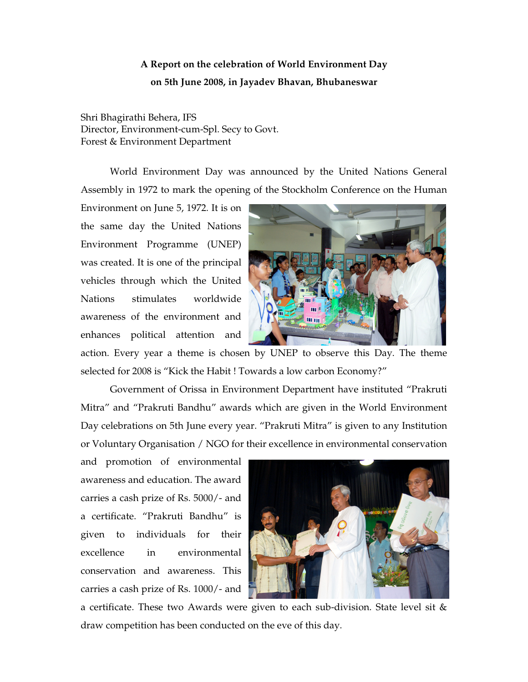## **A Report on the celebration of World Environment Day on 5th June 2008, in Jayadev Bhavan, Bhubaneswar**

Shri Bhagirathi Behera, IFS Director, Environment-cum-Spl. Secy to Govt. Forest & Environment Department

World Environment Day was announced by the United Nations General Assembly in 1972 to mark the opening of the Stockholm Conference on the Human

Environment on June 5, 1972. It is on the same day the United Nations Environment Programme (UNEP) was created. It is one of the principal vehicles through which the United Nations stimulates worldwide awareness of the environment and enhances political attention and



action. Every year a theme is chosen by UNEP to observe this Day. The theme selected for 2008 is "Kick the Habit ! Towards a low carbon Economy?"

Government of Orissa in Environment Department have instituted "Prakruti Mitra" and "Prakruti Bandhu" awards which are given in the World Environment Day celebrations on 5th June every year. "Prakruti Mitra" is given to any Institution or Voluntary Organisation / NGO for their excellence in environmental conservation

and promotion of environmental awareness and education. The award carries a cash prize of Rs. 5000/- and a certificate. "Prakruti Bandhu" is given to individuals for their excellence in environmental conservation and awareness. This carries a cash prize of Rs. 1000/- and



a certificate. These two Awards were given to each sub-division. State level sit & draw competition has been conducted on the eve of this day.